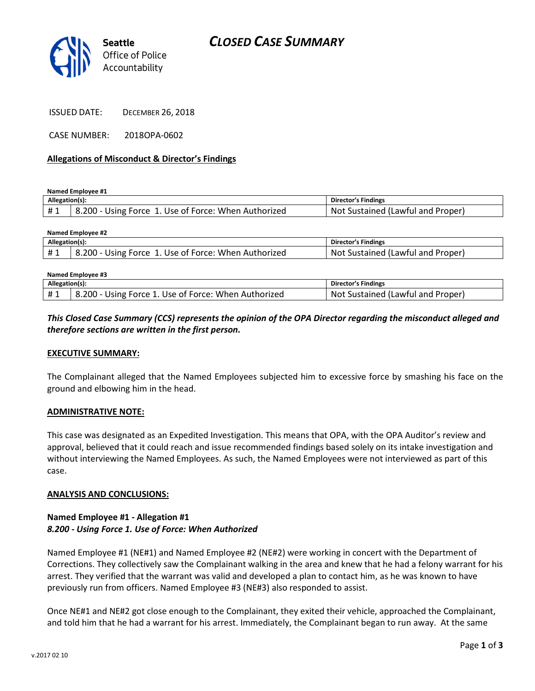

CASE NUMBER: 2018OPA-0602

### Allegations of Misconduct & Director's Findings

Named Employee #1

| Allegation(s): |                                                      | <b>Director's Findings</b>        |
|----------------|------------------------------------------------------|-----------------------------------|
|                | 8.200 - Using Force 1. Use of Force: When Authorized | Not Sustained (Lawful and Proper) |

| Named Employee #2 |                                                      |                                   |  |  |
|-------------------|------------------------------------------------------|-----------------------------------|--|--|
| Allegation(s):    |                                                      | <b>Director's Findings</b>        |  |  |
| #1                | 8.200 - Using Force 1. Use of Force: When Authorized | Not Sustained (Lawful and Proper) |  |  |
|                   |                                                      |                                   |  |  |

| Named Employee #3 |                                                      |                                   |  |
|-------------------|------------------------------------------------------|-----------------------------------|--|
| Allegation(s):    |                                                      | <b>Director's Findings</b>        |  |
|                   | 8.200 - Using Force 1. Use of Force: When Authorized | Not Sustained (Lawful and Proper) |  |

# This Closed Case Summary (CCS) represents the opinion of the OPA Director regarding the misconduct alleged and therefore sections are written in the first person.

### EXECUTIVE SUMMARY:

The Complainant alleged that the Named Employees subjected him to excessive force by smashing his face on the ground and elbowing him in the head.

### ADMINISTRATIVE NOTE:

This case was designated as an Expedited Investigation. This means that OPA, with the OPA Auditor's review and approval, believed that it could reach and issue recommended findings based solely on its intake investigation and without interviewing the Named Employees. As such, the Named Employees were not interviewed as part of this case.

### ANALYSIS AND CONCLUSIONS:

### Named Employee #1 - Allegation #1 8.200 - Using Force 1. Use of Force: When Authorized

Named Employee #1 (NE#1) and Named Employee #2 (NE#2) were working in concert with the Department of Corrections. They collectively saw the Complainant walking in the area and knew that he had a felony warrant for his arrest. They verified that the warrant was valid and developed a plan to contact him, as he was known to have previously run from officers. Named Employee #3 (NE#3) also responded to assist.

Once NE#1 and NE#2 got close enough to the Complainant, they exited their vehicle, approached the Complainant, and told him that he had a warrant for his arrest. Immediately, the Complainant began to run away. At the same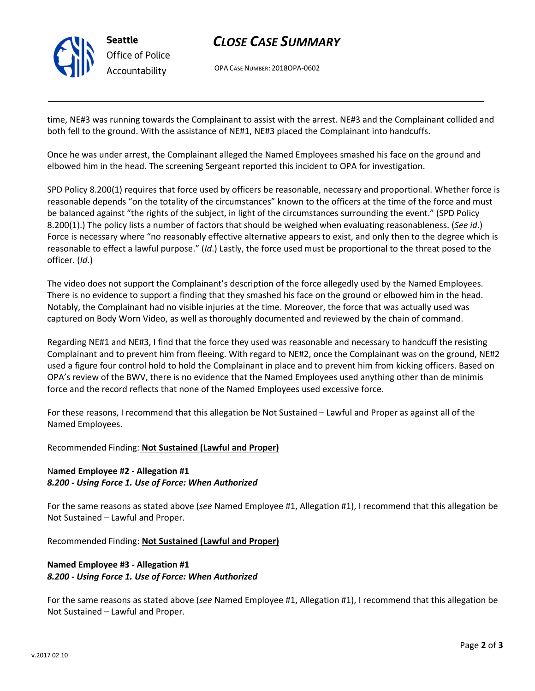

# CLOSE CASE SUMMARY

OPA CASE NUMBER: 2018OPA-0602

time, NE#3 was running towards the Complainant to assist with the arrest. NE#3 and the Complainant collided and both fell to the ground. With the assistance of NE#1, NE#3 placed the Complainant into handcuffs.

Once he was under arrest, the Complainant alleged the Named Employees smashed his face on the ground and elbowed him in the head. The screening Sergeant reported this incident to OPA for investigation.

SPD Policy 8.200(1) requires that force used by officers be reasonable, necessary and proportional. Whether force is reasonable depends "on the totality of the circumstances" known to the officers at the time of the force and must be balanced against "the rights of the subject, in light of the circumstances surrounding the event." (SPD Policy 8.200(1).) The policy lists a number of factors that should be weighed when evaluating reasonableness. (See id.) Force is necessary where "no reasonably effective alternative appears to exist, and only then to the degree which is reasonable to effect a lawful purpose." (Id.) Lastly, the force used must be proportional to the threat posed to the officer. (Id.)

The video does not support the Complainant's description of the force allegedly used by the Named Employees. There is no evidence to support a finding that they smashed his face on the ground or elbowed him in the head. Notably, the Complainant had no visible injuries at the time. Moreover, the force that was actually used was captured on Body Worn Video, as well as thoroughly documented and reviewed by the chain of command.

Regarding NE#1 and NE#3, I find that the force they used was reasonable and necessary to handcuff the resisting Complainant and to prevent him from fleeing. With regard to NE#2, once the Complainant was on the ground, NE#2 used a figure four control hold to hold the Complainant in place and to prevent him from kicking officers. Based on OPA's review of the BWV, there is no evidence that the Named Employees used anything other than de minimis force and the record reflects that none of the Named Employees used excessive force.

For these reasons, I recommend that this allegation be Not Sustained – Lawful and Proper as against all of the Named Employees.

### Recommended Finding: Not Sustained (Lawful and Proper)

## Named Employee #2 - Allegation #1 8.200 - Using Force 1. Use of Force: When Authorized

For the same reasons as stated above (see Named Employee #1, Allegation #1), I recommend that this allegation be Not Sustained – Lawful and Proper.

Recommended Finding: Not Sustained (Lawful and Proper)

# Named Employee #3 - Allegation #1 8.200 - Using Force 1. Use of Force: When Authorized

For the same reasons as stated above (see Named Employee #1, Allegation #1), I recommend that this allegation be Not Sustained – Lawful and Proper.